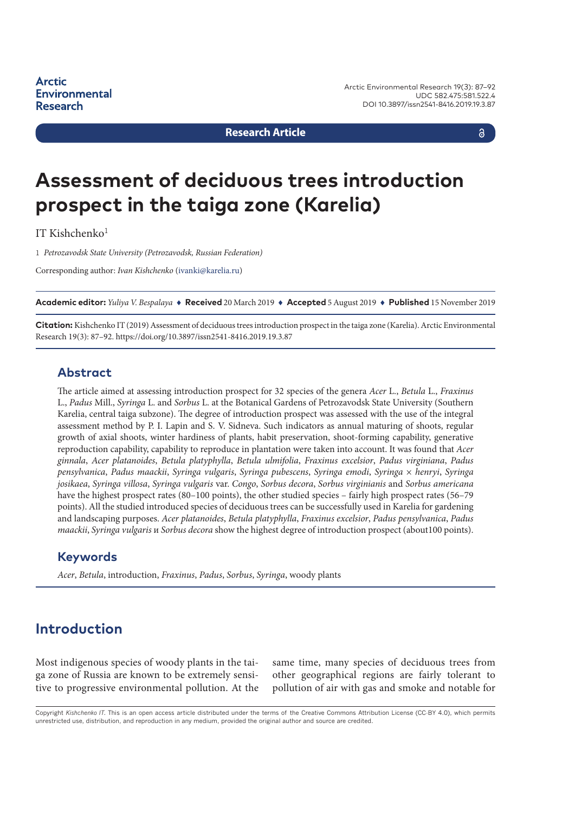**Research Article**

a

# **Assessment of deciduous trees introduction prospect in the taiga zone (Karelia)**

IT Kishchenko $1$ 

1 *Petrozavodsk State University (Petrozavodsk, Russian Federation)*

Corresponding author: *Ivan Kishchenko* ([ivanki@karelia.ru](mailto:ivanki@karelia.ru))

**Academic editor:** *Yuliya V. Bespalaya* ♦ **Received** 20 March 2019 ♦ **Accepted** 5 August 2019 ♦ **Published** 15 November 2019

**Citation:** Kishchenko IT (2019) Assessment of deciduous trees introduction prospect in the taiga zone (Karelia). Arctic Environmental Research 19(3): 87–92. [https://doi.org/10.3897/issn2541-8416.2019.19.3.87](https://doi.org/%18)

### **Abstract**

The article aimed at assessing introduction prospect for 32 species of the genera *Acer* L., *Betula* L., *Fraxinus*  L., *Padus* Mill., *Syringa* L. and *Sorbus* L. at the Botanical Gardens of Petrozavodsk State University (Southern Karelia, central taiga subzone). The degree of introduction prospect was assessed with the use of the integral assessment method by P. I. Lapin and S. V. Sidneva. Such indicators as annual maturing of shoots, regular growth of axial shoots, winter hardiness of plants, habit preservation, shoot-forming capability, generative reproduction capability, capability to reproduce in plantation were taken into account. It was found that *Acer ginnala*, *Acer platanoides*, *Betula platyphylla*, *Betula ulmifolia*, *Fraxinus excelsior*, *Padus virginiana*, *Padus pensylvanica*, *Padus maackii*, *Syringa vulgaris*, *Syringa pubescens*, *Syringa emodi*, *Syringa* × *henryi*, *Syringa josikaea*, *Syringa villosa*, *Syringa vulgaris* var. *Congo*, *Sorbus decora*, *Sorbus virginianis* and *Sorbus аmericana*  have the highest prospect rates (80–100 points), the other studied species – fairly high prospect rates (56–79 points). All the studied introduced species of deciduous trees can be successfully used in Karelia for gardening and landscaping purposes. *Acer platanoides*, *Betula platyphylla*, *Fraxinus excelsior*, *Padus pensylvanica*, *Padus maackii*, *Syringa vulgaris* и *Sorbus decora* show the highest degree of introduction prospect (about100 points).

### **Keywords**

*Acer*, *Betula*, introduction, *Fraxinus*, *Padus*, *Sorbus*, *Syringa*, woody plants

# **Introduction**

Most indigenous species of woody plants in the taiga zone of Russia are known to be extremely sensitive to progressive environmental pollution. At the same time, many species of deciduous trees from other geographical regions are fairly tolerant to pollution of air with gas and smoke and notable for

Copyright *Kishchenko IT.* This is an open access article distributed under the terms of the Creative Commons Attribution License (CC-BY 4.0), which permits unrestricted use, distribution, and reproduction in any medium, provided the original author and source are credited.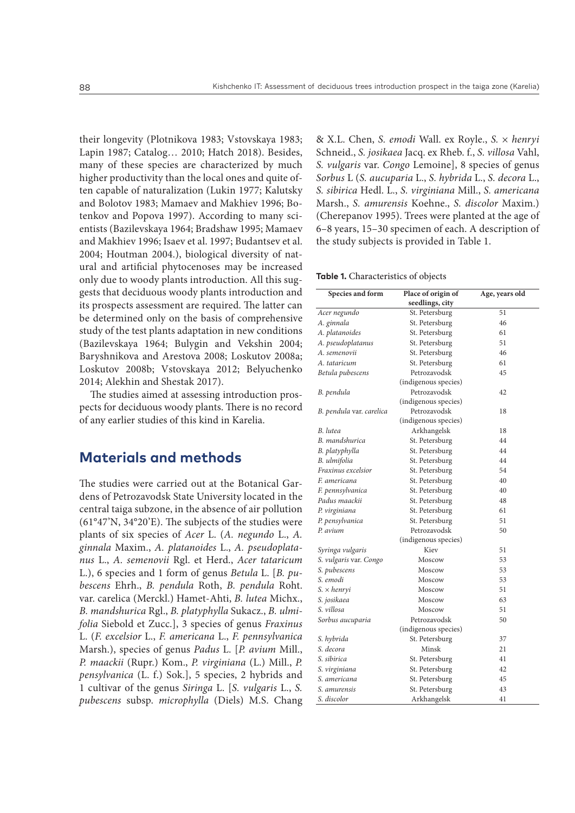their longevity (Plotnikova 1983; Vstovskaya 1983; Lapin 1987; Catalog… 2010; Hatch 2018). Besides, many of these species are characterized by much higher productivity than the local ones and quite often capable of naturalization (Lukin 1977; Kalutsky and Bolotov 1983; Mamaev and Makhiev 1996; Botenkov and Popova 1997). According to many scientists (Bazilevskaya 1964; Bradshaw 1995; Mamaev and Makhiev 1996; Isaev et al. 1997; Budantsev et al. 2004; Houtman 2004.), biological diversity of natural and artificial phytocenoses may be increased only due to woody plants introduction. All this suggests that deciduous woody plants introduction and its prospects assessment are required. The latter can be determined only on the basis of comprehensive study of the test plants adaptation in new conditions (Bazilevskaya 1964; Bulygin and Vekshin 2004; Baryshnikova and Arestova 2008; Loskutov 2008a; Loskutov 2008b; Vstovskaya 2012; Belyuchenko 2014; Alekhin and Shestak 2017).

The studies aimed at assessing introduction prospects for deciduous woody plants. There is no record of any earlier studies of this kind in Karelia.

### **Materials and methods**

The studies were carried out at the Botanical Gardens of Petrozavodsk State University located in the central taiga subzone, in the absence of air pollution (61°47'N, 34°20'E). The subjects of the studies were plants of six species of *Acer* L. (*A. negundo* L., *A. ginnala* Maxim., *A. platanoides* L., *A. pseudoplatanus* L., *A. semenovii* Rgl. et Herd., *Acer tataricum* L.), 6 species and 1 form of genus *Betula* L. [*B. pubescens* Ehrh., *B. pendula* Roth, *В. pendula* Roht. var. carelica (Merckl.) Hamet-Ahti, *В. lutea* Michx., *B. mandshurica* Rgl., *B. platyphylla* Sukacz., *B. ulmifolia* Siebold et Zucc.], 3 species of genus *Fraxinus* L. (*F. excelsior* L., *F. americana* L., *F. pennsylvanica* Marsh.), species of genus *Padus* L. [*P. avium* Mill., *P. maackii* (Rupr.) Kom., *P. virginiana* (L.) Mill., *P. pensylvanica* (L. f.) Sok.], 5 species, 2 hybrids and 1 cultivar of the genus *Siringa* L. [*S. vulgaris* L., *S. pubescens* subsp. *microphylla* (Diels) M.S. Chang & X.L. Chen, *S. emodi* Wall. ex Royle., *S.* × *henryi*  Schneid., *S. josikaeа* Jacq. ex Rheb. f., *S. villosa* Vahl, *S. vulgaris* var. *Congo* Lemoine], 8 species of genus *Sorbus* L (*S. аucuparia* L., *S. hybrida* L., *S. decora* L., *S. sibirica* Hedl. L., *S. virginiana* Mill., *S. americana*  Marsh., *S. amurensis* Koehne., *S. discolor* Maxim.) (Cherepanov 1995). Trees were planted at the age of 6–8 years, 15–30 specimen of each. A description of the study subjects is provided in Table 1.

#### **Table 1.** Characteristics of objects

| Species and form         | Place of origin of   | Age, years old |  |  |  |  |  |  |  |
|--------------------------|----------------------|----------------|--|--|--|--|--|--|--|
|                          | seedlings, city      |                |  |  |  |  |  |  |  |
| Acer negundo             | St. Petersburg       | 51             |  |  |  |  |  |  |  |
| A. ginnala               | St. Petersburg       | 46             |  |  |  |  |  |  |  |
| A. platanoides           | St. Petersburg       | 61             |  |  |  |  |  |  |  |
| A. pseudoplatanus        | St. Petersburg       | 51             |  |  |  |  |  |  |  |
| A. semenovii             | St. Petersburg       | 46             |  |  |  |  |  |  |  |
| A. tataricum             | St. Petersburg       | 61             |  |  |  |  |  |  |  |
| Betula pubescens         | Petrozavodsk<br>45   |                |  |  |  |  |  |  |  |
|                          | (indigenous species) |                |  |  |  |  |  |  |  |
| B. pendula               | Petrozavodsk         | 42             |  |  |  |  |  |  |  |
|                          | (indigenous species) |                |  |  |  |  |  |  |  |
| B. pendula var. carelica | Petrozavodsk         | 18             |  |  |  |  |  |  |  |
|                          | (indigenous species) |                |  |  |  |  |  |  |  |
| B. lutea                 | Arkhangelsk          | 18             |  |  |  |  |  |  |  |
| B. mandshurica           | St. Petersburg       | 44             |  |  |  |  |  |  |  |
| B. platyphylla           | St. Petersburg       | 44             |  |  |  |  |  |  |  |
| B. ulmifolia             | St. Petersburg       | 44             |  |  |  |  |  |  |  |
| Fraxinus excelsior       | St. Petersburg       | 54             |  |  |  |  |  |  |  |
| F. americana             | St. Petersburg       | 40             |  |  |  |  |  |  |  |
| F. pennsylvanica         | St. Petersburg       | 40             |  |  |  |  |  |  |  |
| Padus maackii            | St. Petersburg       | 48             |  |  |  |  |  |  |  |
| P. virginiana            | St. Petersburg       | 61             |  |  |  |  |  |  |  |
| P. pensylvanica          | St. Petersburg       | 51             |  |  |  |  |  |  |  |
| P. avium                 | Petrozavodsk         | 50             |  |  |  |  |  |  |  |
| (indigenous species)     |                      |                |  |  |  |  |  |  |  |
| Syringa vulgaris         | Kiev                 | 51             |  |  |  |  |  |  |  |
| S. vulgaris var. Congo   | Moscow               | 53             |  |  |  |  |  |  |  |
| S. pubescens             | Moscow               | 53             |  |  |  |  |  |  |  |
| S. emodi                 | Moscow               | 53             |  |  |  |  |  |  |  |
| $S. \times henryi$       | Moscow               | 51             |  |  |  |  |  |  |  |
| S. josikaea              | Moscow               | 63             |  |  |  |  |  |  |  |
| S. villosa               | Moscow               | 51             |  |  |  |  |  |  |  |
| Sorbus aucuparia         | Petrozavodsk         | 50             |  |  |  |  |  |  |  |
|                          | (indigenous species) |                |  |  |  |  |  |  |  |
| S. hybrida               | St. Petersburg       | 37             |  |  |  |  |  |  |  |
| S. decora                | Minsk                | 21             |  |  |  |  |  |  |  |
| S. sibirica              | St. Petersburg       | 41             |  |  |  |  |  |  |  |
| S. virginiana            | St. Petersburg       | 42             |  |  |  |  |  |  |  |
| S. americana             | St. Petersburg       | 45             |  |  |  |  |  |  |  |
| S. amurensis             | St. Petersburg       | 43             |  |  |  |  |  |  |  |
| S. discolor              | Arkhangelsk          | 41             |  |  |  |  |  |  |  |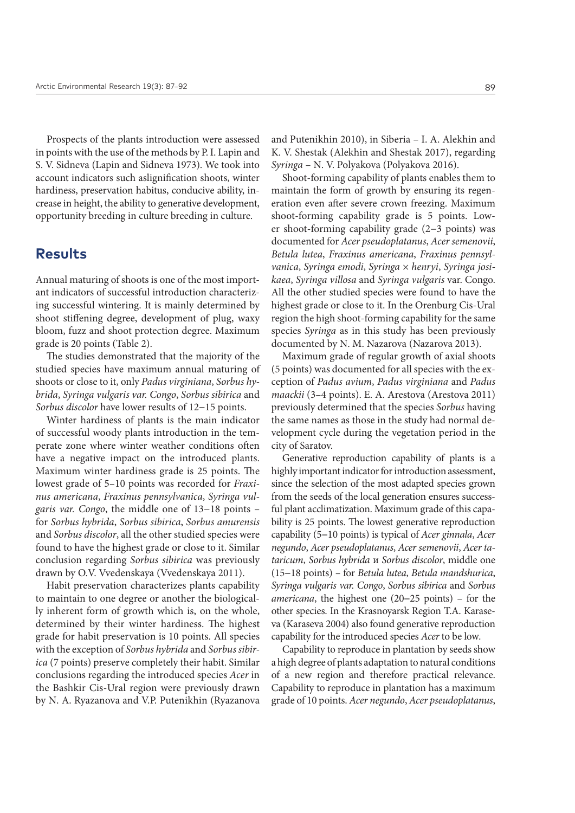Prospects of the plants introduction were assessed in points with the use of the methods by P. I. Lapin and S. V. Sidneva (Lapin and Sidneva 1973). We took into account indicators such aslignification shoots, winter hardiness, preservation habitus, conducive ability, increase in height, the ability to generative development, opportunity breeding in culture breeding in culture.

### **Results**

Annual maturing of shoots is one of the most important indicators of successful introduction characterizing successful wintering. It is mainly determined by shoot stiffening degree, development of plug, waxy bloom, fuzz and shoot protection degree. Maximum grade is 20 points (Table 2).

The studies demonstrated that the majority of the studied species have maximum annual maturing of shoots or close to it, only *Padus virginiana*, *Sorbus hybrida*, *Syringa vulgaris var. Сongo*, *Sorbus sibirica* and *Sorbus discolor* have lower results of 12**−**15 points.

Winter hardiness of plants is the main indicator of successful woody plants introduction in the temperate zone where winter weather conditions often have a negative impact on the introduced plants. Maximum winter hardiness grade is 25 points. The lowest grade of 5–10 points was recorded for *Fraxinus аmericana*, *Fraxinus pennsylvanica*, *Syringa vulgaris var. Сongo*, the middle one of 13−18 points – for *Sorbus hybrida*, *Sorbus sibirica*, *Sorbus amurensis*  and *Sorbus discolor*, all the other studied species were found to have the highest grade or close to it. Similar conclusion regarding *Sorbus sibirica* was previously drawn by O.V. Vvedenskaya (Vvedenskaya 2011).

Habit preservation characterizes plants capability to maintain to one degree or another the biologically inherent form of growth which is, on the whole, determined by their winter hardiness. The highest grade for habit preservation is 10 points. All species with the exception of *Sorbus hybrida* and *Sorbus sibirica* (7 points) preserve completely their habit. Similar conclusions regarding the introduced species *Acer* in the Bashkir Cis-Ural region were previously drawn by N. A. Ryazanova and V.P. Putenikhin (Ryazanova and Putenikhin 2010), in Siberia – I. A. Alekhin and K. V. Shestak (Alekhin and Shestak 2017), regarding *Syringa* – N. V. Polyakova (Polyakova 2016).

Shoot-forming capability of plants enables them to maintain the form of growth by ensuring its regeneration even after severe crown freezing. Maximum shoot-forming capability grade is 5 points. Lower shoot-forming capability grade (2**−**3 points) was documented for *Acer pseudoplatanus*, *Acer semenovii*, *Вetula lutea*, *Fraxinus аmericana*, *Fraxinus pennsylvanica*, *Syringa emodi*, *Syringa* × *henryi*, *Syringa josikaea*, *Syringa villosa* and *Syringa vulgaris* var. Сongo. All the other studied species were found to have the highest grade or close to it. In the Orenburg Cis-Ural region the high shoot-forming capability for the same species *Syringa* as in this study has been previously documented by N. M. Nazarova (Nazarova 2013).

Maximum grade of regular growth of axial shoots (5 points) was documented for all species with the exception of *Padus avium*, *Padus virginiana* and *Padus maackii* (3–4 points). E. A. Arestova (Arestova 2011) previously determined that the species *Sorbus* having the same names as those in the study had normal development cycle during the vegetation period in the city of Saratov.

Generative reproduction capability of plants is a highly important indicator for introduction assessment, since the selection of the most adapted species grown from the seeds of the local generation ensures successful plant acclimatization. Maximum grade of this capability is 25 points. The lowest generative reproduction capability (5**−**10 points) is typical of *Acer ginnala*, *Acer negundo*, *Acer pseudoplatanus*, *Acer semenovii*, *Acer tataricum*, *Sorbus hybrida* и *Sorbus discolor*, middle one (15**−**18 points) *–* for *Вetula lutea*, *Betula mandshurica*, *Syringa vulgaris var. Сongo*, *Sorbus sibirica* and *Sorbus аmericana*, the highest one (20**−**25 points) – for the other species. In the Krasnoyarsk Region T.A. Karaseva (Karaseva 2004) also found generative reproduction capability for the introduced species *Acer* to be low*.*

Capability to reproduce in plantation by seeds show a high degree of plants adaptation to natural conditions of a new region and therefore practical relevance. Capability to reproduce in plantation has a maximum grade of 10 points. *Acer negundo*, *Acer pseudoplatanus*,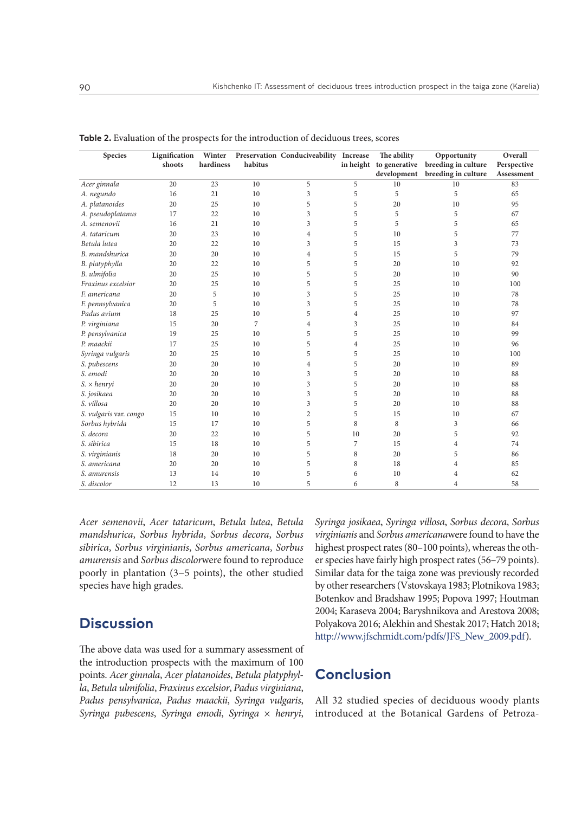| Species                | Lignification | Winter    |         | Preservation Conduciveability Increase |                | The ability | Opportunity                                 | Overall     |
|------------------------|---------------|-----------|---------|----------------------------------------|----------------|-------------|---------------------------------------------|-------------|
|                        | shoots        | hardiness | habitus |                                        |                |             | in height to generative breeding in culture | Perspective |
|                        |               |           |         |                                        |                | development | breeding in culture                         | Assessment  |
| Acer ginnala           | 20            | 23        | 10      | 5                                      | 5              | 10          | 10                                          | 83          |
| A. negundo             | 16            | 21        | 10      | 3                                      | 5              | 5           | 5                                           | 65          |
| A. platanoides         | 20            | 25        | 10      | 5                                      | 5              | 20          | 10                                          | 95          |
| A. pseudoplatanus      | 17            | 22        | 10      | 3                                      | 5              | 5           | 5                                           | 67          |
| A. semenovii           | 16            | 21        | 10      | 3                                      | 5              | 5           | 5                                           | 65          |
| A. tataricum           | 20            | 23        | 10      | $\overline{4}$                         | 5              | 10          | 5                                           | 77          |
| Betula lutea           | 20            | 22        | 10      | 3                                      | 5              | 15          | 3                                           | 73          |
| B. mandshurica         | 20            | 20        | 10      | $\overline{4}$                         | 5              | 15          | 5                                           | 79          |
| B. platyphylla         | 20            | 22        | 10      | 5                                      | 5              | 20          | 10                                          | 92          |
| B. ulmifolia           | 20            | 25        | 10      | 5                                      | 5              | 20          | 10                                          | 90          |
| Fraxinus excelsior     | 20            | 25        | 10      | 5                                      | 5              | 25          | 10                                          | 100         |
| F. americana           | 20            | 5         | 10      | 3                                      | 5              | 25          | 10                                          | 78          |
| F. pennsylvanica       | 20            | 5         | 10      | 3                                      | 5              | 25          | 10                                          | 78          |
| Padus avium            | 18            | 25        | 10      | 5                                      | $\overline{4}$ | 25          | 10                                          | 97          |
| P. virginiana          | 15            | 20        | 7       | $\overline{4}$                         | 3              | 25          | 10                                          | 84          |
| P. pensylvanica        | 19            | 25        | 10      | 5                                      | 5              | 25          | 10                                          | 99          |
| P. maackii             | 17            | 25        | 10      | 5                                      | $\overline{4}$ | 25          | 10                                          | 96          |
| Syringa vulgaris       | 20            | 25        | 10      | 5                                      | 5              | 25          | 10                                          | 100         |
| S. pubescens           | 20            | 20        | 10      | $\overline{4}$                         | 5              | 20          | 10                                          | 89          |
| S. emodi               | 20            | 20        | 10      | 3                                      | 5              | 20          | 10                                          | 88          |
| $S. \times henryi$     | 20            | 20        | 10      | 3                                      | 5              | 20          | 10                                          | 88          |
| S. josikaea            | 20            | 20        | 10      | 3                                      | 5              | 20          | 10                                          | 88          |
| S. villosa             | 20            | 20        | 10      | 3                                      | 5              | 20          | 10                                          | 88          |
| S. vulgaris var. congo | 15            | 10        | 10      | $\overline{2}$                         | 5              | 15          | 10                                          | 67          |
| Sorbus hybrida         | 15            | 17        | 10      | 5                                      | 8              | 8           | 3                                           | 66          |
| S. decora              | 20            | 22        | 10      | 5                                      | 10             | 20          | 5                                           | 92          |
| S. sibirica            | 15            | 18        | 10      | 5                                      | 7              | 15          | $\overline{4}$                              | 74          |
| S. virginianis         | 18            | 20        | 10      | 5                                      | 8              | 20          | 5                                           | 86          |
| S. americana           | 20            | 20        | 10      | 5                                      | 8              | 18          | $\overline{4}$                              | 85          |
| S. amurensis           | 13            | 14        | 10      | 5                                      | 6              | 10          | 4                                           | 62          |
| S. discolor            | 12            | 13        | 10      | 5                                      | 6              | 8           | $\overline{4}$                              | 58          |

**Table 2.** Evaluation of the prospects for the introduction of deciduous trees, scores

*Acer semenovii*, *Acer tataricum*, *Вetula lutea*, *Betula mandshurica*, *Sorbus hybrida*, *Sorbus decora*, *Sorbus sibirica*, *Sorbus virginianis*, *Sorbus аmericana*, *Sorbus amurensis* and *Sorbus discolor*were found to reproduce poorly in plantation (3−5 points), the other studied species have high grades.

## **Discussion**

The above data was used for a summary assessment of the introduction prospects with the maximum of 100 points. *Acer ginnala*, *Acer platanoides*, *Betula platyphylla*, *Betula ulmifolia*, *Fraxinus excelsior*, *Padus virginiana*, *Padus pensylvanica*, *Padus maackii*, *Syringa vulgaris*, *Syringa pubescens*, *Syringa emodi*, *Syringa* × *henryi*, *Syringa josikaea*, *Syringa villosa*, *Sorbus decora*, *Sorbus virginianis* and *Sorbus аmericana*were found to have the highest prospect rates (80–100 points), whereas the other species have fairly high prospect rates (56–79 points). Similar data for the taiga zone was previously recorded by other researchers (Vstovskaya 1983; Plotnikova 1983; Botenkov and Bradshaw 1995; Popova 1997; Houtman 2004; Karaseva 2004; Baryshnikova and Arestova 2008; Polyakova 2016; Alekhin and Shestak 2017; Hatch 2018; [http://www.jfschmidt.com/pdfs/JFS\\_New\\_2009.pdf](http://www.jfschmidt.com/pdfs/JFS_New_2009.pdf)).

## **Conclusion**

All 32 studied species of deciduous woody plants introduced at the Botanical Gardens of Petroza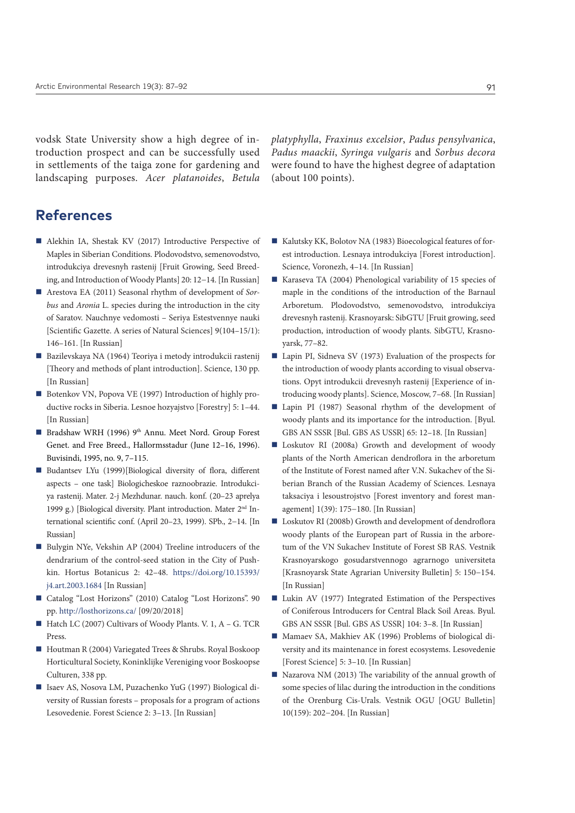vodsk State University show a high degree of introduction prospect and can be successfully used in settlements of the taiga zone for gardening and landscaping purposes. *Acer platanoides*, *Betula*  *platyphylla*, *Fraxinus excelsior*, *Padus pensylvanica*, *Padus maackii*, *Syringa vulgaris* and *Sorbus decora*  were found to have the highest degree of adaptation (about 100 points).

### **References**

- Alekhin IA, Shestak KV (2017) Introductive Perspective of Maples in Siberian Conditions. Plodovodstvo, semenovodstvo, introdukciya drevesnyh rastenij [Fruit Growing, Seed Breeding, and Introduction of Woody Plants] 20: 12−14. [In Russian]
- Arestova EA (2011) Seasonal rhythm of development of *Sorbus* and *Aronia* L. species during the introduction in the city of Saratov. Nauchnye vedomosti – Seriya Estestvennye nauki [Scientific Gazette. A series of Natural Sciences] 9(104–15/1): 146–161. [In Russian]
- Bazilevskaya NA (1964) Teoriya i metody introdukcii rastenij [Theory and methods of plant introduction]. Science, 130 pp. [In Russian]
- Botenkov VN, Popova VE (1997) Introduction of highly productive rocks in Siberia. Lesnoe hozyajstvo [Forestry] 5: 1–44. [In Russian]
- Bradshaw WRH (1996) 9<sup>th</sup> Annu. Meet Nord. Group Forest Genet. and Free Breed., Hallormsstadur (June 12–16, 1996). Buvisindi, 1995, no. 9, 7–115.
- Budantsev LYu (1999)[Biological diversity of flora, different aspects – one task] Biologicheskoe raznoobrazie. Introdukciya rastenij. Mater. 2-j Mezhdunar. nauch. konf. (20–23 aprelya 1999 g.) [Biological diversity. Plant introduction. Mater 2nd International scientific conf. (April 20–23, 1999). SPb., 2−14. [In Russian]
- Bulygin NYe, Vekshin AP (2004) Treeline introducers of the dendrarium of the control-seed station in the City of Pushkin. Hortus Botanicus 2: 42–48. [https://doi.org/10.15393/](https://doi.org/10.15393/j4.art.2003.1684) [j4.art.2003.1684](https://doi.org/10.15393/j4.art.2003.1684) [In Russian]
- Catalog "Lost Horizons" (2010) Catalog "Lost Horizons". 90 pp.<http://losthorizons.ca/> [09/20/2018]
- $\blacksquare$  Hatch LC (2007) Cultivars of Woody Plants. V. 1, A G. TCR Press.
- Houtman R (2004) Variegated Trees & Shrubs. Royal Boskoop Horticultural Society, Koninklijke Vereniging voor Boskoopse Culturen, 338 pp.
- Isaev AS, Nosova LM, Puzachenko YuG (1997) Biological diversity of Russian forests – proposals for a program of actions Lesovedenie. Forest Science 2: 3–13. [In Russian]
- Kalutsky KK, Bolotov NA (1983) Bioecological features of forest introduction. Lesnaya introdukciya [Forest introduction]. Science, Voronezh, 4–14. [In Russian]
- Karaseva TA (2004) Phenological variability of 15 species of maple in the conditions of the introduction of the Barnaul Arboretum. Plodovodstvo, semenovodstvo, introdukciya drevesnyh rastenij. Krasnoyarsk: SibGTU [Fruit growing, seed production, introduction of woody plants. SibGTU, Krasnoyarsk, 77–82.
- Lapin PI, Sidneva SV (1973) Evaluation of the prospects for the introduction of woody plants according to visual observations. Opyt introdukcii drevesnyh rastenij [Experience of introducing woody plants]. Science, Moscow, 7–68. [In Russian]
- Lapin PI (1987) Seasonal rhythm of the development of woody plants and its importance for the introduction. [Byul. GBS AN SSSR [Bul. GBS AS USSR] 65: 12–18. [In Russian]
- Loskutov RI (2008a) Growth and development of woody plants of the North American dendroflora in the arboretum of the Institute of Forest named after V.N. Sukachev of the Siberian Branch of the Russian Academy of Sciences. Lesnaya taksaciya i lesoustrojstvo [Forest inventory and forest management] 1(39): 175−180. [In Russian]
- Loskutov RI (2008b) Growth and development of dendroflora woody plants of the European part of Russia in the arboretum of the VN Sukachev Institute of Forest SB RAS. Vestnik Krasnoyarskogo gosudarstvennogo agrarnogo universiteta [Krasnoyarsk State Agrarian University Bulletin] 5: 150−154. [In Russian]
- Lukin AV (1977) Integrated Estimation of the Perspectives of Coniferous Introducers for Central Black Soil Areas. Byul. GBS AN SSSR [Bul. GBS AS USSR] 104: 3–8. [In Russian]
- Mamaev SA, Makhiev AK (1996) Problems of biological diversity and its maintenance in forest ecosystems. Lesovedenie [Forest Science] 5: 3–10. [In Russian]
- Nazarova NM (2013) The variability of the annual growth of some species of lilac during the introduction in the conditions of the Orenburg Cis-Urals. Vestnik OGU [OGU Bulletin] 10(159): 202−204. [In Russian]